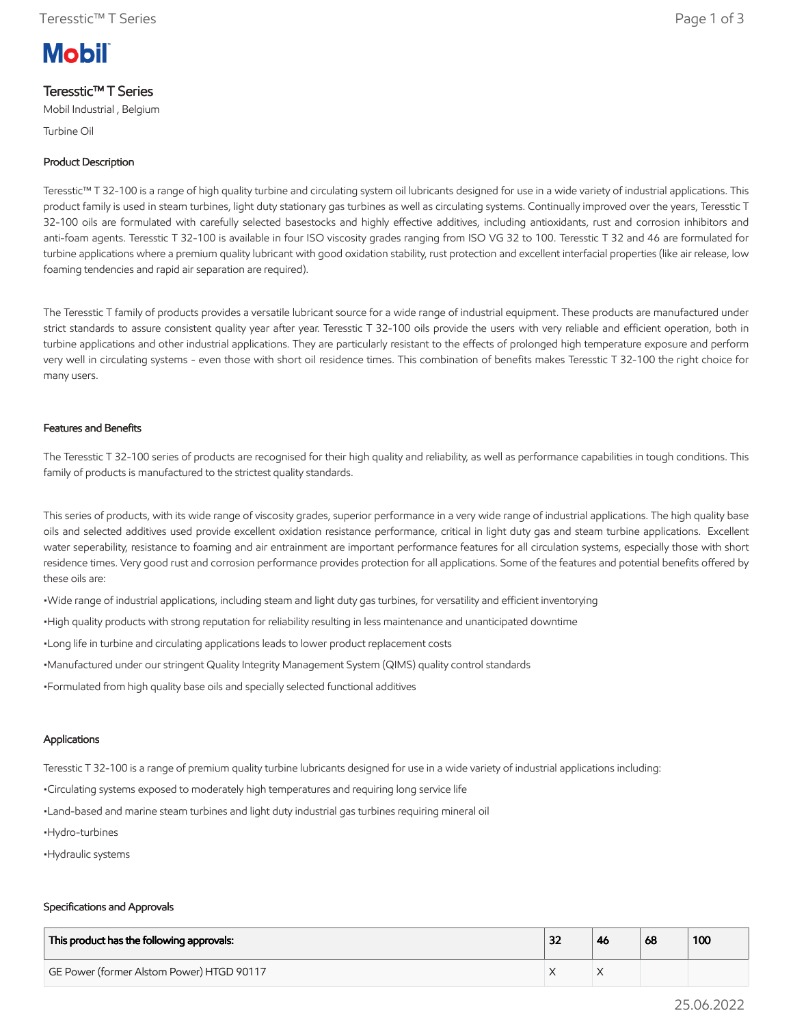# **Mobil**

## Teresstic™ T Series

Mobil Industrial , Belgium

Turbine Oil

### Product Description

Teresstic™ T 32-100 is a range of high quality turbine and circulating system oil lubricants designed for use in a wide variety of industrial applications. This product family is used in steam turbines, light duty stationary gas turbines as well as circulating systems. Continually improved over the years, Teresstic T 32-100 oils are formulated with carefully selected basestocks and highly effective additives, including antioxidants, rust and corrosion inhibitors and anti-foam agents. Teresstic T 32-100 is available in four ISO viscosity grades ranging from ISO VG 32 to 100. Teresstic T 32 and 46 are formulated for turbine applications where a premium quality lubricant with good oxidation stability, rust protection and excellent interfacial properties (like air release, low foaming tendencies and rapid air separation are required).

The Teresstic T family of products provides a versatile lubricant source for a wide range of industrial equipment. These products are manufactured under strict standards to assure consistent quality year after year. Teresstic T 32-100 oils provide the users with very reliable and efficient operation, both in turbine applications and other industrial applications. They are particularly resistant to the effects of prolonged high temperature exposure and perform very well in circulating systems - even those with short oil residence times. This combination of benefits makes Teresstic T 32-100 the right choice for many users.

#### Features and Benefits

The Teresstic T 32-100 series of products are recognised for their high quality and reliability, as well as performance capabilities in tough conditions. This family of products is manufactured to the strictest quality standards.

This series of products, with its wide range of viscosity grades, superior performance in a very wide range of industrial applications. The high quality base oils and selected additives used provide excellent oxidation resistance performance, critical in light duty gas and steam turbine applications. Excellent water seperability, resistance to foaming and air entrainment are important performance features for all circulation systems, especially those with short residence times. Very good rust and corrosion performance provides protection for all applications. Some of the features and potential benefits offered by these oils are:

•Wide range of industrial applications, including steam and light duty gas turbines, for versatility and efficient inventorying

•High quality products with strong reputation for reliability resulting in less maintenance and unanticipated downtime

•Long life in turbine and circulating applications leads to lower product replacement costs

•Manufactured under our stringent Quality Integrity Management System (QIMS) quality control standards

•Formulated from high quality base oils and specially selected functional additives

#### Applications

Teresstic T 32-100 is a range of premium quality turbine lubricants designed for use in a wide variety of industrial applications including:

•Circulating systems exposed to moderately high temperatures and requiring long service life

•Land-based and marine steam turbines and light duty industrial gas turbines requiring mineral oil

- •Hydro-turbines
- •Hydraulic systems

#### Specifications and Approvals

| This product has the following approvals: | ລາ | <b>46</b> | 68 | 100 |
|-------------------------------------------|----|-----------|----|-----|
| GE Power (former Alstom Power) HTGD 90117 |    |           |    |     |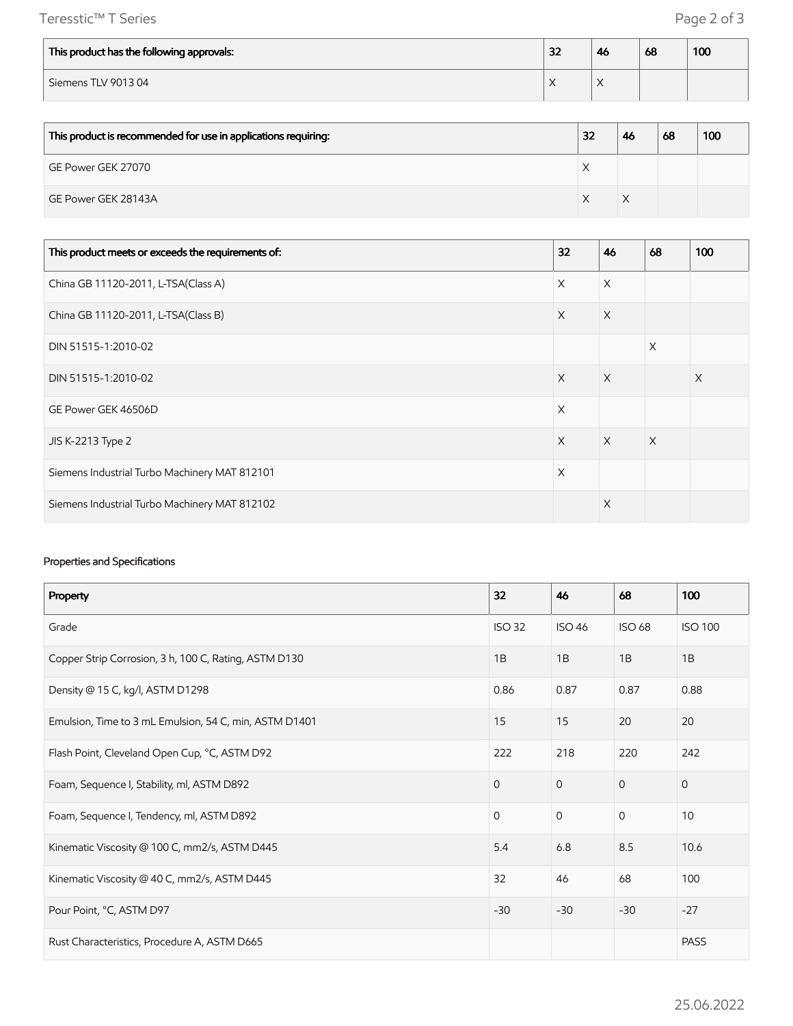Teresstic™ T Series Page 2 of 3

| This product has the following approvals: | 32 | 46 | 68 | 100 |
|-------------------------------------------|----|----|----|-----|
| Siemens TLV 901304                        |    |    |    |     |

| This product is recommended for use in applications requiring: | 32 | 46 | 68 | 100 |
|----------------------------------------------------------------|----|----|----|-----|
| GE Power GEK 27070                                             |    |    |    |     |
| GE Power GEK 28143A                                            |    | X  |    |     |

| This product meets or exceeds the requirements of: | 32       | 46       | 68       | 100 |
|----------------------------------------------------|----------|----------|----------|-----|
| China GB 11120-2011, L-TSA(Class A)                | $\times$ | $\times$ |          |     |
| China GB 11120-2011, L-TSA(Class B)                | $\times$ | $\times$ |          |     |
| DIN 51515-1:2010-02                                |          |          | $\times$ |     |
| DIN 51515-1:2010-02                                | $\times$ | $\times$ |          | X   |
| GE Power GEK 46506D                                | $\times$ |          |          |     |
| JIS K-2213 Type 2                                  | $\times$ | $\times$ | X        |     |
| Siemens Industrial Turbo Machinery MAT 812101      | $\times$ |          |          |     |
| Siemens Industrial Turbo Machinery MAT 812102      |          | $\times$ |          |     |

#### Properties and Specifications

| Property                                               | 32            | 46            | 68            | 100            |
|--------------------------------------------------------|---------------|---------------|---------------|----------------|
| Grade                                                  | <b>ISO 32</b> | <b>ISO 46</b> | <b>ISO 68</b> | <b>ISO 100</b> |
| Copper Strip Corrosion, 3 h, 100 C, Rating, ASTM D130  | 1B            | 1B            | 1B            | 1B             |
| Density @ 15 C, kg/l, ASTM D1298                       | 0.86          | 0.87          | 0.87          | 0.88           |
| Emulsion, Time to 3 mL Emulsion, 54 C, min, ASTM D1401 | 15            | 15            | 20            | 20             |
| Flash Point, Cleveland Open Cup, °C, ASTM D92          | 222           | 218           | 220           | 242            |
| Foam, Sequence I, Stability, ml, ASTM D892             | $\mathbf{0}$  | $\mathbf{0}$  | $\mathbf{0}$  | $\mathbf{0}$   |
| Foam, Sequence I, Tendency, ml, ASTM D892              | $\Omega$      | $\mathbf{0}$  | $\mathbf{0}$  | 10             |
| Kinematic Viscosity @ 100 C, mm2/s, ASTM D445          | 5.4           | 6.8           | 8.5           | 10.6           |
| Kinematic Viscosity @ 40 C, mm2/s, ASTM D445           | 32            | 46            | 68            | 100            |
| Pour Point, °C, ASTM D97                               | $-30$         | $-30$         | $-30$         | $-27$          |
| Rust Characteristics, Procedure A, ASTM D665           |               |               |               | <b>PASS</b>    |